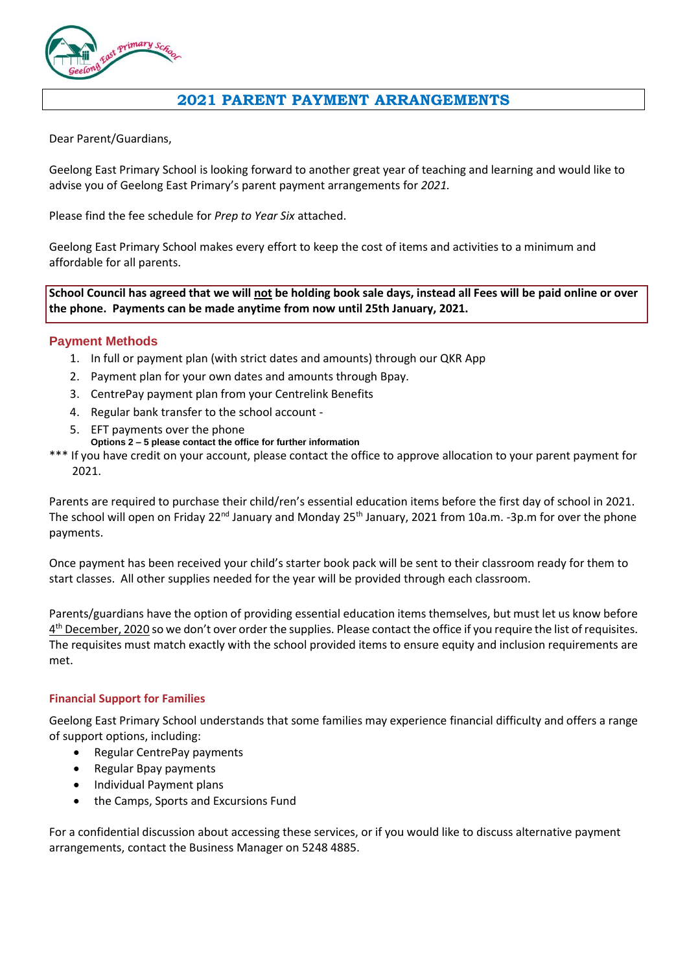

## **2021 PARENT PAYMENT ARRANGEMENTS**

Dear Parent/Guardians,

Geelong East Primary School is looking forward to another great year of teaching and learning and would like to advise you of Geelong East Primary's parent payment arrangements for *2021.*

Please find the fee schedule for *Prep to Year Six* attached.

Geelong East Primary School makes every effort to keep the cost of items and activities to a minimum and affordable for all parents.

**School Council has agreed that we will not be holding book sale days, instead all Fees will be paid online or over the phone. Payments can be made anytime from now until 25th January, 2021.**

#### **Payment Methods**

- 1. In full or payment plan (with strict dates and amounts) through our QKR App
- 2. Payment plan for your own dates and amounts through Bpay.
- 3. CentrePay payment plan from your Centrelink Benefits
- 4. Regular bank transfer to the school account -
- 5. EFT payments over the phone
- **Options 2 – 5 please contact the office for further information**

\*\*\* If you have credit on your account, please contact the office to approve allocation to your parent payment for 2021.

Parents are required to purchase their child/ren's essential education items before the first day of school in 2021. The school will open on Friday 22<sup>nd</sup> January and Monday 25<sup>th</sup> January, 2021 from 10a.m. -3p.m for over the phone payments.

Once payment has been received your child's starter book pack will be sent to their classroom ready for them to start classes. All other supplies needed for the year will be provided through each classroom.

Parents/guardians have the option of providing essential education items themselves, but must let us know before  $4^{\text{th}}$  December, 2020 so we don't over order the supplies. Please contact the office if you require the list of requisites. The requisites must match exactly with the school provided items to ensure equity and inclusion requirements are met.

#### **Financial Support for Families**

Geelong East Primary School understands that some families may experience financial difficulty and offers a range of support options, including:

- Regular CentrePay payments
- Regular Bpay payments
- Individual Payment plans
- the Camps, Sports and Excursions Fund

For a confidential discussion about accessing these services, or if you would like to discuss alternative payment arrangements, contact the Business Manager on 5248 4885.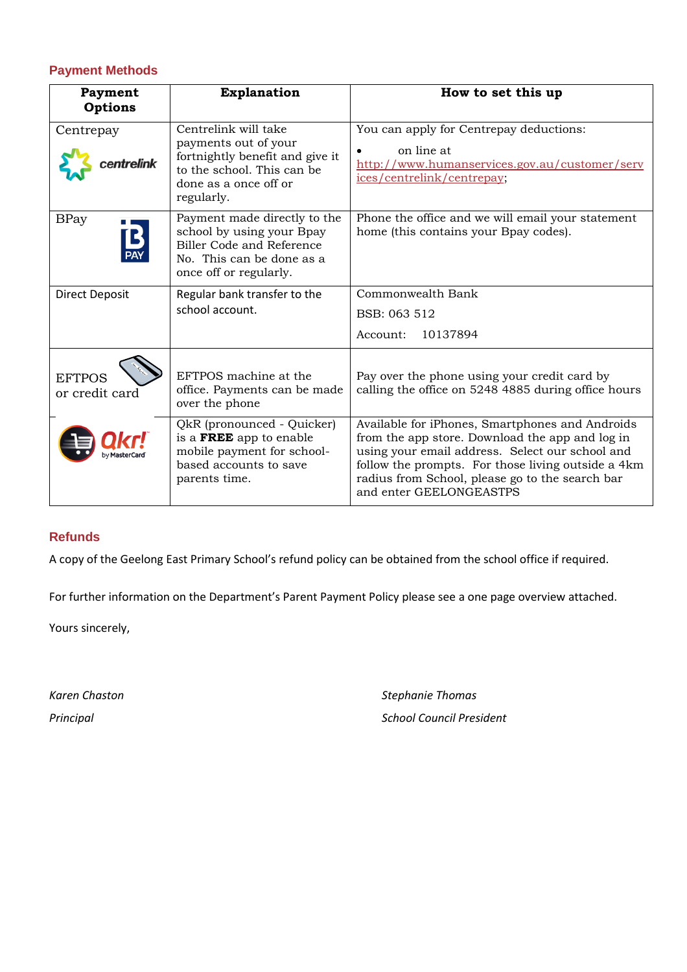### **Payment Methods**

| Payment<br><b>Options</b>       | <b>Explanation</b>                                                                                                                                   | How to set this up                                                                                                                                                                                                                                                                        |  |  |  |
|---------------------------------|------------------------------------------------------------------------------------------------------------------------------------------------------|-------------------------------------------------------------------------------------------------------------------------------------------------------------------------------------------------------------------------------------------------------------------------------------------|--|--|--|
| Centrepay                       | Centrelink will take<br>payments out of your<br>fortnightly benefit and give it<br>to the school. This can be<br>done as a once off or<br>regularly. | You can apply for Centrepay deductions:<br>on line at<br>http://www.humanservices.gov.au/customer/serv<br>ices/centrelink/centrepay;                                                                                                                                                      |  |  |  |
| <b>BPay</b><br><b>PAY</b>       | Payment made directly to the<br>school by using your Bpay<br><b>Biller Code and Reference</b><br>No. This can be done as a<br>once off or regularly. | Phone the office and we will email your statement<br>home (this contains your Bpay codes).                                                                                                                                                                                                |  |  |  |
| <b>Direct Deposit</b>           | Regular bank transfer to the                                                                                                                         | Commonwealth Bank                                                                                                                                                                                                                                                                         |  |  |  |
|                                 | school account.                                                                                                                                      | BSB: 063 512                                                                                                                                                                                                                                                                              |  |  |  |
|                                 |                                                                                                                                                      | 10137894<br>Account:                                                                                                                                                                                                                                                                      |  |  |  |
| <b>EFTPOS</b><br>or credit card | EFTPOS machine at the<br>office. Payments can be made<br>over the phone                                                                              | Pay over the phone using your credit card by<br>calling the office on 5248 4885 during office hours                                                                                                                                                                                       |  |  |  |
|                                 | QkR (pronounced - Quicker)<br>is a FREE app to enable<br>mobile payment for school-<br>based accounts to save<br>parents time.                       | Available for iPhones, Smartphones and Androids<br>from the app store. Download the app and log in<br>using your email address. Select our school and<br>follow the prompts. For those living outside a 4km<br>radius from School, please go to the search bar<br>and enter GEELONGEASTPS |  |  |  |

### **Refunds**

A copy of the Geelong East Primary School's refund policy can be obtained from the school office if required.

For further information on the Department's Parent Payment Policy please see a one page overview attached.

Yours sincerely,

*Karen Chaston Stephanie Thomas Principal School Council President*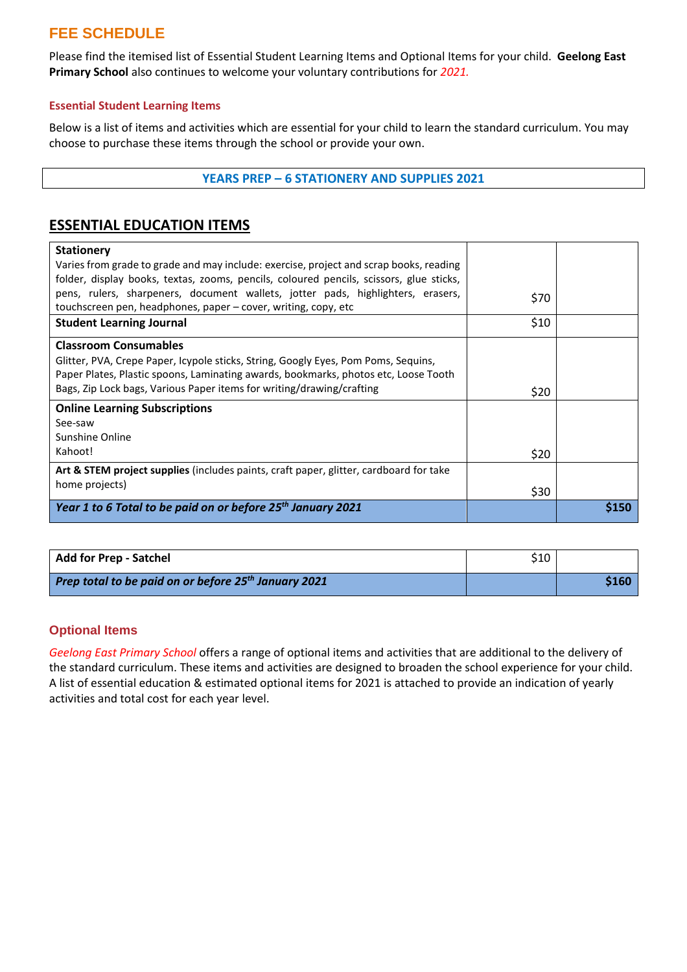# **FEE SCHEDULE**

Please find the itemised list of Essential Student Learning Items and Optional Items for your child. **Geelong East Primary School** also continues to welcome your voluntary contributions for *2021.*

#### **Essential Student Learning Items**

Below is a list of items and activities which are essential for your child to learn the standard curriculum. You may choose to purchase these items through the school or provide your own.

#### **YEARS PREP – 6 STATIONERY AND SUPPLIES 2021**

## **ESSENTIAL EDUCATION ITEMS**

| <b>Stationery</b><br>Varies from grade to grade and may include: exercise, project and scrap books, reading                                                                                                                                                                        |      |      |
|------------------------------------------------------------------------------------------------------------------------------------------------------------------------------------------------------------------------------------------------------------------------------------|------|------|
| folder, display books, textas, zooms, pencils, coloured pencils, scissors, glue sticks,<br>pens, rulers, sharpeners, document wallets, jotter pads, highlighters, erasers,<br>touchscreen pen, headphones, paper – cover, writing, copy, etc                                       | \$70 |      |
| <b>Student Learning Journal</b>                                                                                                                                                                                                                                                    | \$10 |      |
| <b>Classroom Consumables</b><br>Glitter, PVA, Crepe Paper, Icypole sticks, String, Googly Eyes, Pom Poms, Sequins,<br>Paper Plates, Plastic spoons, Laminating awards, bookmarks, photos etc, Loose Tooth<br>Bags, Zip Lock bags, Various Paper items for writing/drawing/crafting | \$20 |      |
| <b>Online Learning Subscriptions</b>                                                                                                                                                                                                                                               |      |      |
| See-saw<br>Sunshine Online<br>Kahoot!                                                                                                                                                                                                                                              |      |      |
|                                                                                                                                                                                                                                                                                    | \$20 |      |
| <b>Art &amp; STEM project supplies</b> (includes paints, craft paper, glitter, cardboard for take<br>home projects)                                                                                                                                                                | \$30 |      |
| Year 1 to 6 Total to be paid on or before 25 <sup>th</sup> January 2021                                                                                                                                                                                                            |      | S150 |

| <b>Add for Prep - Satchel</b>                                    | \$10 |       |
|------------------------------------------------------------------|------|-------|
| Prep total to be paid on or before 25 <sup>th</sup> January 2021 |      | \$160 |

#### **Optional Items**

*Geelong East Primary School* offers a range of optional items and activities that are additional to the delivery of the standard curriculum. These items and activities are designed to broaden the school experience for your child. A list of essential education & estimated optional items for 2021 is attached to provide an indication of yearly activities and total cost for each year level.